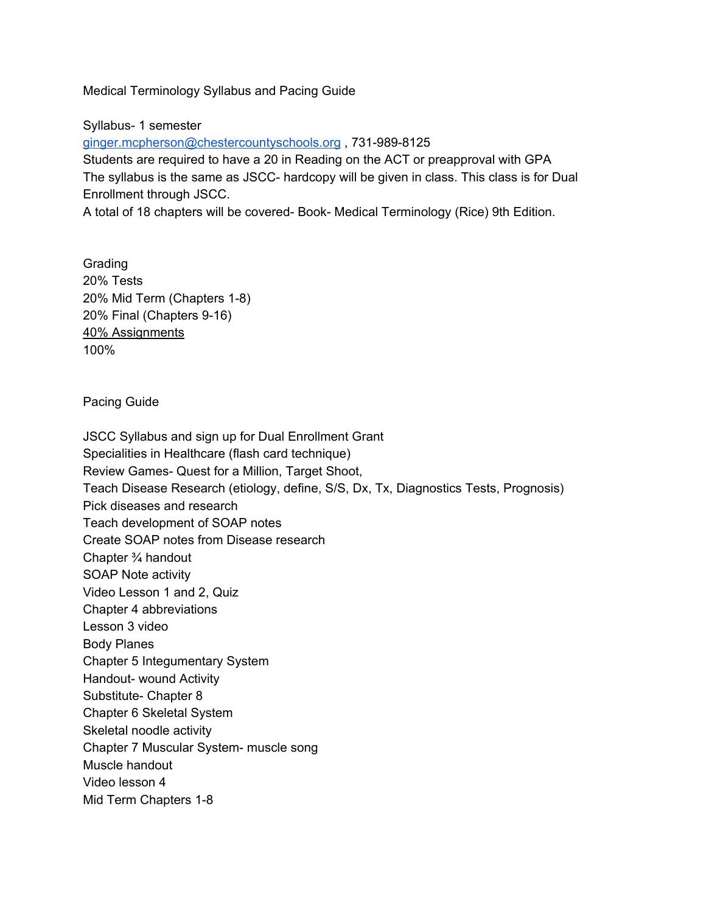Medical Terminology Syllabus and Pacing Guide

Syllabus- 1 semester

[ginger.mcpherson@chestercountyschools.org](mailto:ginger.mcpherson@chestercoubtyschools.org) , 731-989-8125 Students are required to have a 20 in Reading on the ACT or preapproval with GPA The syllabus is the same as JSCC- hardcopy will be given in class. This class is for Dual Enrollment through JSCC.

A total of 18 chapters will be covered- Book- Medical Terminology (Rice) 9th Edition.

Grading 20% Tests 20% Mid Term (Chapters 1-8) 20% Final (Chapters 9-16) 40% Assignments 100%

Pacing Guide

JSCC Syllabus and sign up for Dual Enrollment Grant Specialities in Healthcare (flash card technique) Review Games- Quest for a Million, Target Shoot, Teach Disease Research (etiology, define, S/S, Dx, Tx, Diagnostics Tests, Prognosis) Pick diseases and research Teach development of SOAP notes Create SOAP notes from Disease research Chapter ¾ handout SOAP Note activity Video Lesson 1 and 2, Quiz Chapter 4 abbreviations Lesson 3 video Body Planes Chapter 5 Integumentary System Handout- wound Activity Substitute- Chapter 8 Chapter 6 Skeletal System Skeletal noodle activity Chapter 7 Muscular System- muscle song Muscle handout Video lesson 4 Mid Term Chapters 1-8